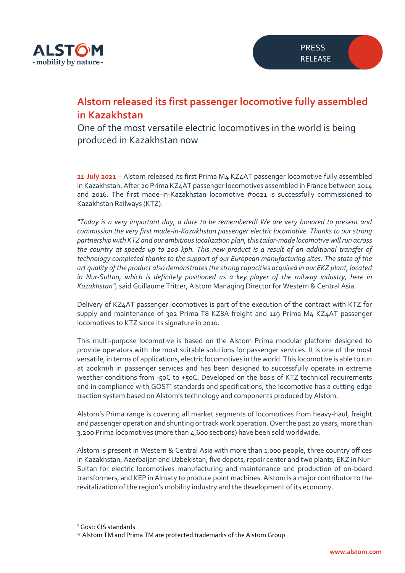

## **Alstom released its first passenger locomotive fully assembled in Kazakhstan**

One of the most versatile electric locomotives in the world is being produced in Kazakhstan now

**21 July 2021** – Alstom released its first Prima M4 KZ4AT passenger locomotive fully assembled in Kazakhstan. After 20 Prima KZ4AT passenger locomotives assembled in France between 2014 and 2016. The first made-in-Kazakhstan locomotive #0021 is successfully commissioned to Kazakhstan Railways (KTZ).

*"Today is a very important day, a date to be remembered! We are very honored to present and commission the very first made-in-Kazakhstan passenger electric locomotive. Thanks to our strong partnership with KTZ and our ambitious localization plan, this tailor-made locomotive will run across the country at speeds up to 200 kph. This new product is a result of an additional transfer of technology completed thanks to the support of our European manufacturing sites. The state of the art quality of the product also demonstrates the strong capacities acquired in our EKZ plant, located*  in Nur-Sultan, which is definitely positioned as a key player of the railway industry, here in *Kazakhstan",* said Guillaume Tritter, Alstom Managing Director for Western & Central Asia.

Delivery of KZ4AT passenger locomotives is part of the execution of the contract with KTZ for supply and maintenance of 302 Prima T8 KZ8A freight and 119 Prima M4 KZ4AT passenger locomotives to KTZ since its signature in 2010.

This multi-purpose locomotive is based on the Alstom Prima modular platform designed to provide operators with the most suitable solutions for passenger services. It is one of the most versatile, in terms of applications, electric locomotives in the world. This locomotive is able to run at 200km/h in passenger services and has been designed to successfully operate in extreme weather conditions from -50C to +50C. Developed on the basis of KTZ technical requirements and in compliance with GOST<sup>1</sup> standards and specifications, the locomotive has a cutting edge traction system based on Alstom's technology and components produced by Alstom.

Alstom's Prima range is covering all market segments of locomotives from heavy-haul, freight and passenger operation and shunting or track work operation. Over the past 20 years, more than 3,200 Prima locomotives (more than 4,600 sections) have been sold worldwide.

Alstom is present in Western & Central Asia with more than 1,000 people, three country offices in Kazakhstan, Azerbaijan and Uzbekistan, five depots, repair center and two plants, EKZ in Nur-Sultan for electric locomotives manufacturing and maintenance and production of on-board transformers, and KEP in Almaty to produce point machines. Alstom is a major contributor to the revitalization of the region's mobility industry and the development of its economy.

<sup>&</sup>lt;sup>1</sup> Gost: CIS standards

<sup>\*</sup> Alstom TM and Prima TM are protected trademarks of the Alstom Group